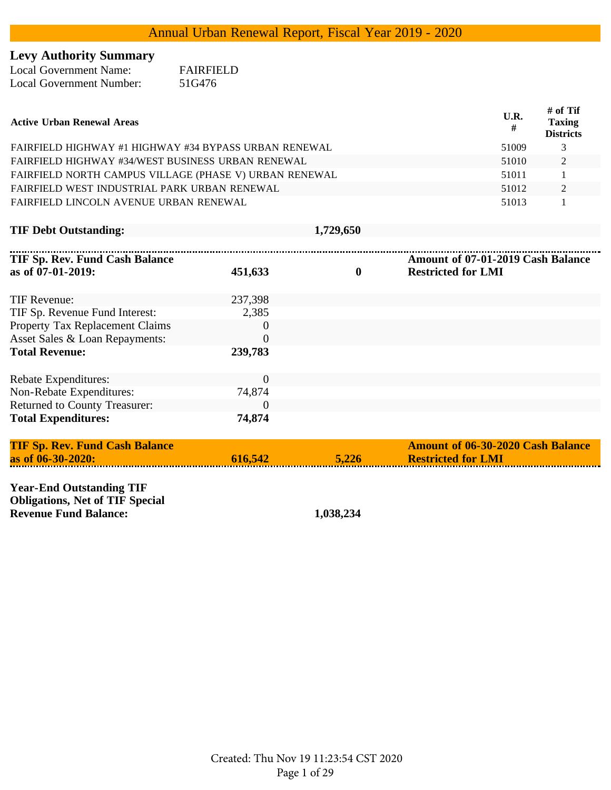## **Levy Authority Summary**

| <b>Local Government Name:</b>   | <b>FAIRFIELD</b> |
|---------------------------------|------------------|
| <b>Local Government Number:</b> | 51G476           |

| <b>Active Urban Renewal Areas</b>                      | U.R.<br># | # of Tif<br><b>Taxing</b><br><b>Districts</b> |
|--------------------------------------------------------|-----------|-----------------------------------------------|
| FAIRFIELD HIGHWAY #1 HIGHWAY #34 BYPASS URBAN RENEWAL  | 51009     | 3                                             |
| FAIRFIELD HIGHWAY #34/WEST BUSINESS URBAN RENEWAL      | 51010     | 2                                             |
| FAIRFIELD NORTH CAMPUS VILLAGE (PHASE V) URBAN RENEWAL | 51011     |                                               |
| FAIRFIELD WEST INDUSTRIAL PARK URBAN RENEWAL           | 51012     | 2                                             |
| FAIRFIELD LINCOLN AVENUE URBAN RENEWAL                 | 51013     |                                               |

|  | <b>TIF Debt Outstanding:</b> |  |
|--|------------------------------|--|
|  |                              |  |

**TIF Debt Outstanding: 1,729,650**

| TIF Sp. Rev. Fund Cash Balance<br>as of $07-01-2019$ : | 451,633  | $\bf{0}$ | Amount of 07-01-2019 Cash Balance<br><b>Restricted for LMI</b> |
|--------------------------------------------------------|----------|----------|----------------------------------------------------------------|
| TIF Revenue:                                           | 237,398  |          |                                                                |
| TIF Sp. Revenue Fund Interest:                         | 2,385    |          |                                                                |
| Property Tax Replacement Claims                        | $\Omega$ |          |                                                                |
| Asset Sales & Loan Repayments:                         | $\Omega$ |          |                                                                |
| <b>Total Revenue:</b>                                  | 239,783  |          |                                                                |
| <b>Rebate Expenditures:</b>                            | $\theta$ |          |                                                                |
| Non-Rebate Expenditures:                               | 74,874   |          |                                                                |
| <b>Returned to County Treasurer:</b>                   | $\Omega$ |          |                                                                |
| <b>Total Expenditures:</b>                             | 74,874   |          |                                                                |

| 5,226<br>616.542<br>as of $06 - 30 - 2020$ :<br><b>Restricted for LMI</b> |  |
|---------------------------------------------------------------------------|--|

**Year-End Outstanding TIF Obligations, Net of TIF Special Revenue Fund Balance: 1,038,234**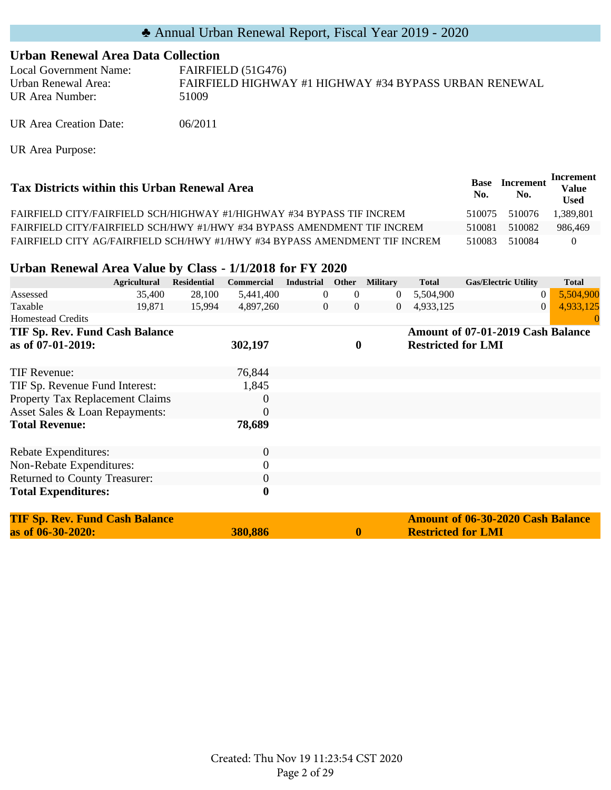#### **Urban Renewal Area Data Collection**

Local Government Name: FAIRFIELD (51G476) Urban Renewal Area: FAIRFIELD HIGHWAY #1 HIGHWAY #34 BYPASS URBAN RENEWAL UR Area Number: 51009

UR Area Creation Date: 06/2011

UR Area Purpose:

| Tax Districts within this Urban Renewal Area                               | <b>Base</b><br>No. | <b>Increment</b><br>No. | Increment<br>Value<br><b>Used</b> |
|----------------------------------------------------------------------------|--------------------|-------------------------|-----------------------------------|
| FAIRFIELD CITY/FAIRFIELD SCH/HIGHWAY #1/HIGHWAY #34 BYPASS TIF INCREM      | 510075             | 510076                  | 1.389.801                         |
| FAIRFIELD CITY/FAIRFIELD SCH/HWY #1/HWY #34 BYPASS AMENDMENT TIF INCREM    | 510081             | 510082                  | 986.469                           |
| FAIRFIELD CITY AG/FAIRFIELD SCH/HWY #1/HWY #34 BYPASS AMENDMENT TIF INCREM | 510083             | 510084                  | $\theta$                          |

#### **Urban Renewal Area Value by Class - 1/1/2018 for FY 2020**

|                                       | <b>Agricultural</b> | <b>Residential</b> | <b>Commercial</b> | <b>Industrial</b> | Other            | <b>Military</b>  | <b>Total</b>              | <b>Gas/Electric Utility</b>              | <b>Total</b> |
|---------------------------------------|---------------------|--------------------|-------------------|-------------------|------------------|------------------|---------------------------|------------------------------------------|--------------|
| Assessed                              | 35,400              | 28,100             | 5,441,400         | 0                 | $\theta$         | $\theta$         | 5,504,900                 | $\theta$                                 | 5,504,900    |
| Taxable                               | 19,871              | 15,994             | 4,897,260         | $\mathbf{0}$      | $\overline{0}$   | $\boldsymbol{0}$ | 4,933,125                 | $\Omega$                                 | 4,933,125    |
| <b>Homestead Credits</b>              |                     |                    |                   |                   |                  |                  |                           |                                          | $\left($     |
| TIF Sp. Rev. Fund Cash Balance        |                     |                    |                   |                   |                  |                  |                           | Amount of 07-01-2019 Cash Balance        |              |
| as of 07-01-2019:                     |                     |                    | 302,197           |                   | $\boldsymbol{0}$ |                  | <b>Restricted for LMI</b> |                                          |              |
| TIF Revenue:                          |                     |                    | 76,844            |                   |                  |                  |                           |                                          |              |
| TIF Sp. Revenue Fund Interest:        |                     |                    | 1,845             |                   |                  |                  |                           |                                          |              |
| Property Tax Replacement Claims       |                     |                    | $\theta$          |                   |                  |                  |                           |                                          |              |
| Asset Sales & Loan Repayments:        |                     |                    | $\theta$          |                   |                  |                  |                           |                                          |              |
| <b>Total Revenue:</b>                 |                     |                    | 78,689            |                   |                  |                  |                           |                                          |              |
|                                       |                     |                    |                   |                   |                  |                  |                           |                                          |              |
| Rebate Expenditures:                  |                     |                    | $\overline{0}$    |                   |                  |                  |                           |                                          |              |
| Non-Rebate Expenditures:              |                     |                    | 0                 |                   |                  |                  |                           |                                          |              |
| Returned to County Treasurer:         |                     |                    | 0                 |                   |                  |                  |                           |                                          |              |
| <b>Total Expenditures:</b>            |                     |                    | $\boldsymbol{0}$  |                   |                  |                  |                           |                                          |              |
| <b>TIF Sp. Rev. Fund Cash Balance</b> |                     |                    |                   |                   |                  |                  |                           | <b>Amount of 06-30-2020 Cash Balance</b> |              |
| as of 06-30-2020:                     |                     |                    | 380,886           |                   | $\boldsymbol{0}$ |                  | <b>Restricted for LMI</b> |                                          |              |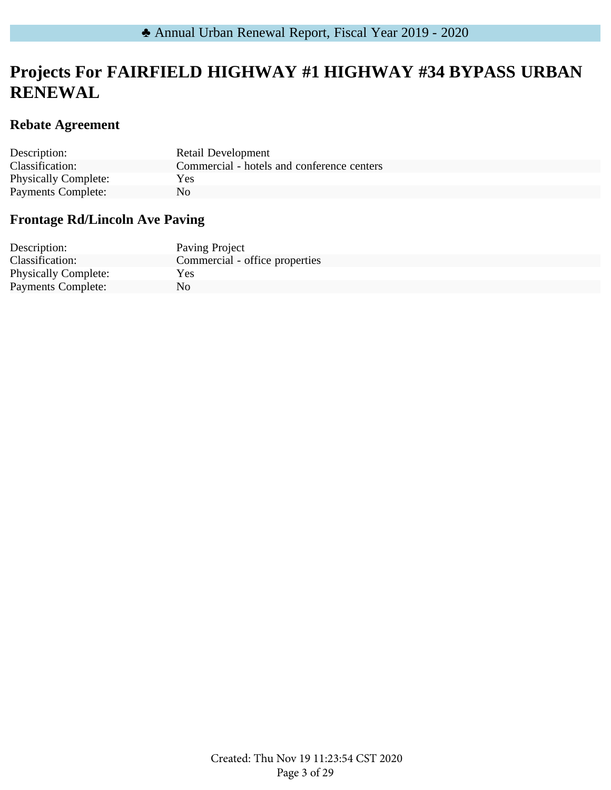## **Projects For FAIRFIELD HIGHWAY #1 HIGHWAY #34 BYPASS URBAN RENEWAL**

### **Rebate Agreement**

| Description:                | <b>Retail Development</b>                  |
|-----------------------------|--------------------------------------------|
| Classification:             | Commercial - hotels and conference centers |
| <b>Physically Complete:</b> | Yes                                        |
| Payments Complete:          | Nο                                         |

## **Frontage Rd/Lincoln Ave Paving**

| Description:                | Paving Project                 |
|-----------------------------|--------------------------------|
| Classification:             | Commercial - office properties |
| <b>Physically Complete:</b> | Yes                            |
| <b>Payments Complete:</b>   | No                             |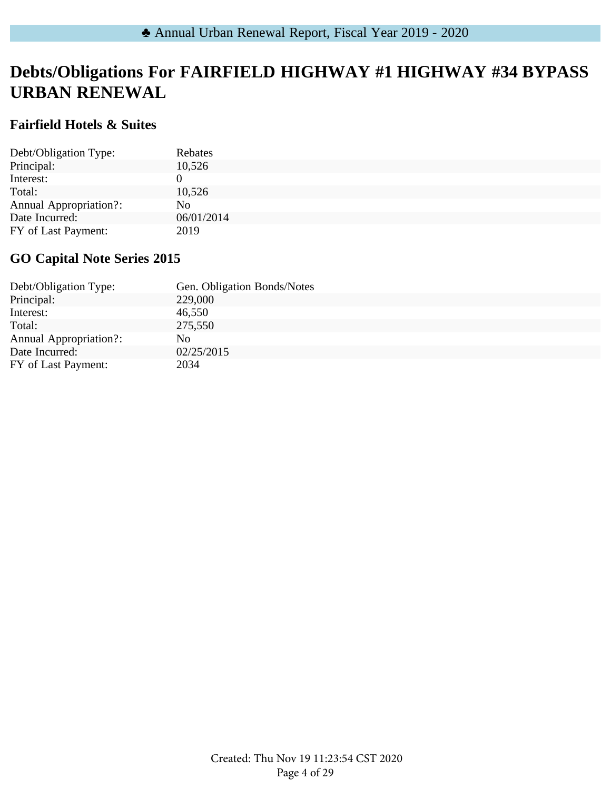## **Debts/Obligations For FAIRFIELD HIGHWAY #1 HIGHWAY #34 BYPASS URBAN RENEWAL**

### **Fairfield Hotels & Suites**

| Debt/Obligation Type:         | Rebates    |
|-------------------------------|------------|
| Principal:                    | 10,526     |
| Interest:                     |            |
| Total:                        | 10,526     |
| <b>Annual Appropriation?:</b> | No.        |
| Date Incurred:                | 06/01/2014 |
| FY of Last Payment:           | 2019       |

### **GO Capital Note Series 2015**

| Debt/Obligation Type:         | Gen. Obligation Bonds/Notes |
|-------------------------------|-----------------------------|
| Principal:                    | 229,000                     |
| Interest:                     | 46,550                      |
| Total:                        | 275,550                     |
| <b>Annual Appropriation?:</b> | No.                         |
| Date Incurred:                | 02/25/2015                  |
| FY of Last Payment:           | 2034                        |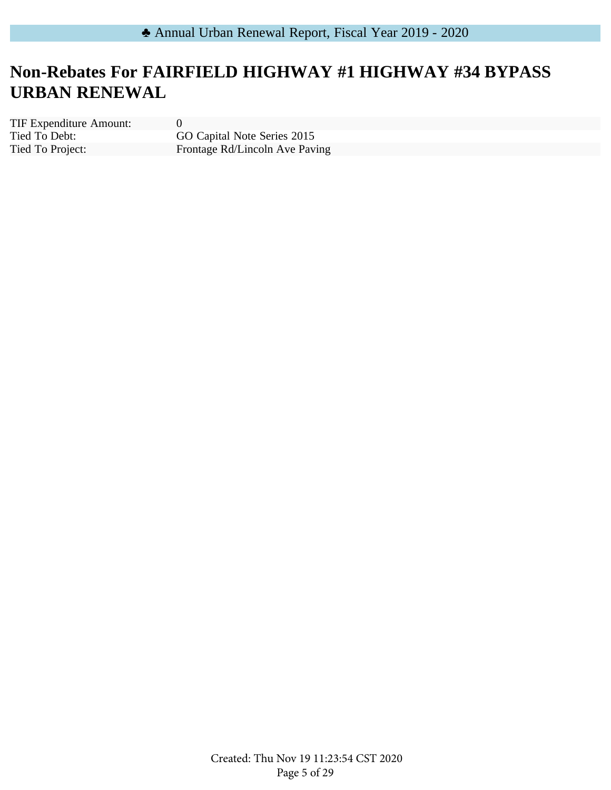# **Non-Rebates For FAIRFIELD HIGHWAY #1 HIGHWAY #34 BYPASS URBAN RENEWAL**

Tied To Debt: Tied To Project: TIF Expenditure Amount: 0

GO Capital Note Series 2015 Frontage Rd/Lincoln Ave Paving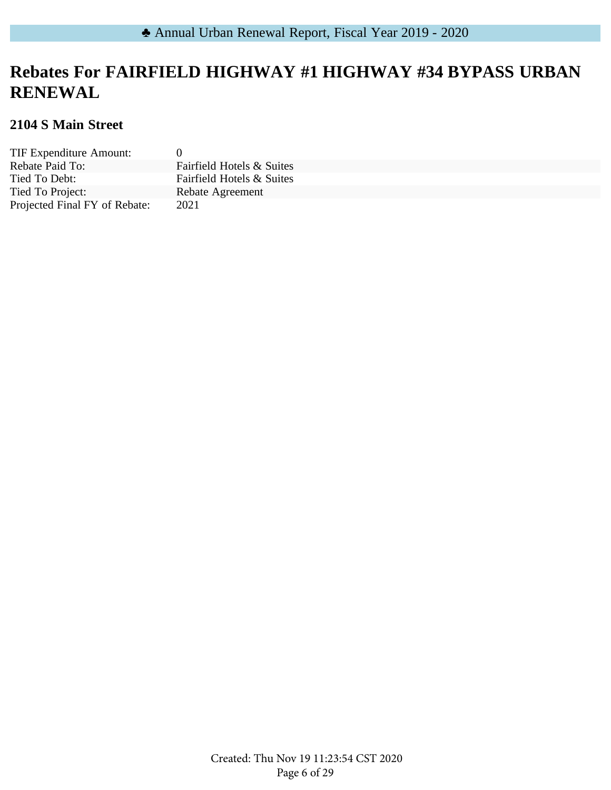# **Rebates For FAIRFIELD HIGHWAY #1 HIGHWAY #34 BYPASS URBAN RENEWAL**

### **2104 S Main Street**

| TIF Expenditure Amount:       | 0                         |
|-------------------------------|---------------------------|
| Rebate Paid To:               | Fairfield Hotels & Suites |
| Tied To Debt:                 | Fairfield Hotels & Suites |
| Tied To Project:              | Rebate Agreement          |
| Projected Final FY of Rebate: | 2021                      |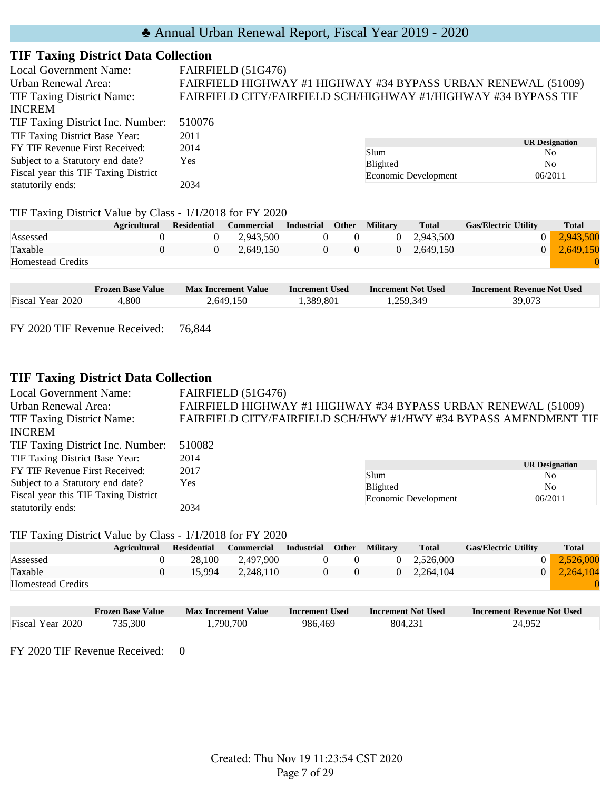### **TIF Taxing District Data Collection**

| <b>Local Government Name:</b>                             |                    |                | FAIRFIELD (51G476) |                   |              |                 |                      |                                                                |                                         |
|-----------------------------------------------------------|--------------------|----------------|--------------------|-------------------|--------------|-----------------|----------------------|----------------------------------------------------------------|-----------------------------------------|
| Urban Renewal Area:                                       |                    |                |                    |                   |              |                 |                      | FAIRFIELD HIGHWAY #1 HIGHWAY #34 BYPASS URBAN RENEWAL (51009)  |                                         |
| <b>TIF Taxing District Name:</b>                          |                    |                |                    |                   |              |                 |                      | FAIRFIELD CITY/FAIRFIELD SCH/HIGHWAY #1/HIGHWAY #34 BYPASS TIF |                                         |
| <b>INCREM</b>                                             |                    |                |                    |                   |              |                 |                      |                                                                |                                         |
| TIF Taxing District Inc. Number:                          | 510076             |                |                    |                   |              |                 |                      |                                                                |                                         |
| TIF Taxing District Base Year:                            | 2011               |                |                    |                   |              |                 |                      |                                                                |                                         |
| FY TIF Revenue First Received:                            | 2014               |                |                    |                   |              | Slum            |                      |                                                                | <b>UR Designation</b><br>N <sub>o</sub> |
| Subject to a Statutory end date?                          | Yes                |                |                    |                   |              | <b>Blighted</b> |                      |                                                                | N <sub>o</sub>                          |
| Fiscal year this TIF Taxing District                      |                    |                |                    |                   |              |                 | Economic Development |                                                                | 06/2011                                 |
| statutorily ends:                                         | 2034               |                |                    |                   |              |                 |                      |                                                                |                                         |
| TIF Taxing District Value by Class - 1/1/2018 for FY 2020 |                    |                |                    |                   |              |                 |                      |                                                                |                                         |
| <b>Agricultural</b>                                       | <b>Residential</b> |                | <b>Commercial</b>  | <b>Industrial</b> | <b>Other</b> | <b>Military</b> | <b>Total</b>         | <b>Gas/Electric Utility</b>                                    | Total                                   |
| Assessed                                                  | $\Omega$           | 0              | 2,943,500          | $\theta$          | $\Omega$     | $\theta$        | 2,943,500            | $\overline{0}$                                                 | 2,943,500                               |
| Taxable                                                   | $\theta$           | $\overline{0}$ | 2,649,150          | $\overline{0}$    | $\Omega$     | $\overline{0}$  | 2,649,150            | $\theta$                                                       | 2,649,150                               |
| <b>Homestead Credits</b>                                  |                    |                |                    |                   |              |                 |                      |                                                                | O                                       |

|                  | <b>Frozen Base Value</b> | <b>Max Increment Value</b> | Increment Used | Increment Not Used | <b>Increment Revenue Not Used</b> |
|------------------|--------------------------|----------------------------|----------------|--------------------|-----------------------------------|
| Fiscal Year 2020 | ,800                     | 2,649,150                  | 1,389,801      | . 259,349          | 39,073                            |

FY 2020 TIF Revenue Received: 76,844

#### **TIF Taxing District Data Collection**

| <b>Local Government Name:</b>        | FAIRFIELD (51G476)                                               |                      |                       |  |  |  |
|--------------------------------------|------------------------------------------------------------------|----------------------|-----------------------|--|--|--|
| Urban Renewal Area:                  | FAIRFIELD HIGHWAY #1 HIGHWAY #34 BYPASS URBAN RENEWAL (51009)    |                      |                       |  |  |  |
| <b>TIF Taxing District Name:</b>     | FAIRFIELD CITY/FAIRFIELD SCH/HWY #1/HWY #34 BYPASS AMENDMENT TIF |                      |                       |  |  |  |
| <b>INCREM</b>                        |                                                                  |                      |                       |  |  |  |
| TIF Taxing District Inc. Number:     | 510082                                                           |                      |                       |  |  |  |
| TIF Taxing District Base Year:       | 2014                                                             |                      |                       |  |  |  |
| FY TIF Revenue First Received:       | 2017                                                             |                      | <b>UR Designation</b> |  |  |  |
| Subject to a Statutory end date?     | <b>Yes</b>                                                       | Slum                 | N <sub>0</sub>        |  |  |  |
|                                      |                                                                  | Blighted             | N <sub>0</sub>        |  |  |  |
| Fiscal year this TIF Taxing District |                                                                  | Economic Development | 06/2011               |  |  |  |
| statutorily ends:                    | 2034                                                             |                      |                       |  |  |  |

#### TIF Taxing District Value by Class - 1/1/2018 for FY 2020

|                          | <b>Agricultural</b> | <b>Residential</b> | Commercial | Industrial | Other | <b>Military</b> | <b>Total</b> | <b>Gas/Electric Utility</b> | <b>Total</b> |
|--------------------------|---------------------|--------------------|------------|------------|-------|-----------------|--------------|-----------------------------|--------------|
| Assessed                 |                     | 28.100             | 2.497.900  |            |       |                 | 2.526,000    | $\overline{0}$              | 2,526,000    |
| Taxable                  |                     | 15.994             | 2.248.110  |            |       | 0.              | 2.264.104    | $\overline{0}$              | 2.264.104    |
| <b>Homestead Credits</b> |                     |                    |            |            |       |                 |              |                             |              |
|                          |                     |                    |            |            |       |                 |              |                             |              |

|                  | <b>Frozen Base Value</b> | Max Increment Value | <b>Increment Used</b> | <b>Increment Not Used</b> | <b>Increment Revenue Not Used</b> |
|------------------|--------------------------|---------------------|-----------------------|---------------------------|-----------------------------------|
| Fiscal Year 2020 | 735.300                  | 790,700             | 986,469               | 804,231                   | 24,952                            |

FY 2020 TIF Revenue Received: 0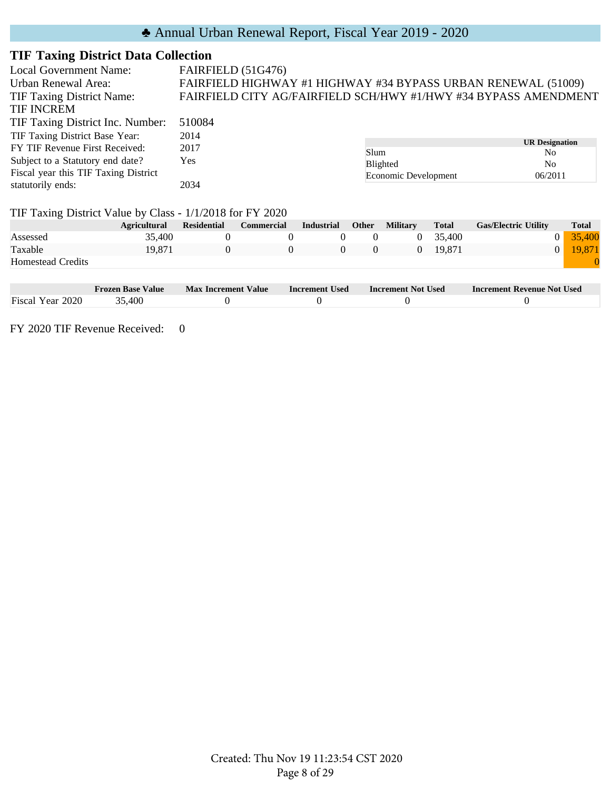### **TIF Taxing District Data Collection**

| Local Government Name:                                    | FAIRFIELD (51G476) |                                                                 |                   |          |                      |              |                                         |              |
|-----------------------------------------------------------|--------------------|-----------------------------------------------------------------|-------------------|----------|----------------------|--------------|-----------------------------------------|--------------|
| Urban Renewal Area:                                       |                    | FAIRFIELD HIGHWAY #1 HIGHWAY #34 BYPASS URBAN RENEWAL (51009)   |                   |          |                      |              |                                         |              |
| <b>TIF Taxing District Name:</b>                          |                    | FAIRFIELD CITY AG/FAIRFIELD SCH/HWY #1/HWY #34 BYPASS AMENDMENT |                   |          |                      |              |                                         |              |
| <b>TIF INCREM</b>                                         |                    |                                                                 |                   |          |                      |              |                                         |              |
| TIF Taxing District Inc. Number:                          | 510084             |                                                                 |                   |          |                      |              |                                         |              |
| TIF Taxing District Base Year:                            | 2014               |                                                                 |                   |          |                      |              |                                         |              |
| FY TIF Revenue First Received:                            | 2017               |                                                                 |                   | Slum     |                      |              | <b>UR Designation</b><br>N <sub>0</sub> |              |
| Subject to a Statutory end date?                          | Yes                |                                                                 |                   |          | Blighted             |              | N <sub>0</sub>                          |              |
| Fiscal year this TIF Taxing District                      |                    |                                                                 |                   |          | Economic Development |              | 06/2011                                 |              |
| statutorily ends:                                         | 2034               |                                                                 |                   |          |                      |              |                                         |              |
| TIF Taxing District Value by Class - 1/1/2018 for FY 2020 |                    |                                                                 |                   |          |                      |              |                                         |              |
| <b>Agricultural</b>                                       | <b>Residential</b> | <b>Commercial</b>                                               | <b>Industrial</b> | Other    | <b>Military</b>      | <b>Total</b> | <b>Gas/Electric Utility</b>             | <b>Total</b> |
| 35,400<br>Assessed                                        | $\Omega$           | $\Omega$                                                        | $\theta$          | $\Omega$ | $\overline{0}$       | 35,400       | $\theta$                                | 35,400       |
| Taxable<br>19,871                                         | $\theta$           | $\Omega$                                                        | $\Omega$          | $\Omega$ | $\overline{0}$       | 19,871       | $\Omega$                                | 19,871       |
| <b>Homestead Credits</b>                                  |                    |                                                                 |                   |          |                      |              |                                         |              |

|                        | Frozen Base Value | <b>Value</b><br><b>Max Increment</b> | Increment Used | <b>Increment Not Used</b> | <b>Increment Revenue Not Used</b> |
|------------------------|-------------------|--------------------------------------|----------------|---------------------------|-----------------------------------|
| Fiscal<br>2020<br>Year | .400              |                                      |                |                           |                                   |

FY 2020 TIF Revenue Received: 0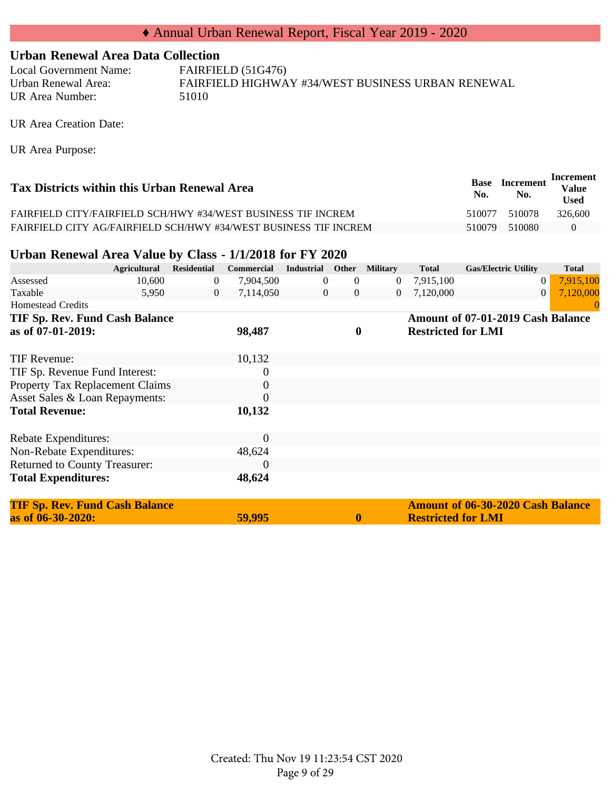#### **Urban Renewal Area Data Collection**

Local Government Name: FAIRFIELD (51G476) Urban Renewal Area: FAIRFIELD HIGHWAY #34/WEST BUSINESS URBAN RENEWAL UR Area Number: 51010

UR Area Creation Date:

UR Area Purpose:

| Tax Districts within this Urban Renewal Area                     | Base<br>No. | <b>Increment</b><br>No. | Increment<br><b>Value</b><br><b>Used</b> |
|------------------------------------------------------------------|-------------|-------------------------|------------------------------------------|
| FAIRFIELD CITY/FAIRFIELD SCH/HWY #34/WEST BUSINESS TIF INCREM    | 510077      | 510078                  | 326.600                                  |
| FAIRFIELD CITY AG/FAIRFIELD SCH/HWY #34/WEST BUSINESS TIF INCREM | 510079      | 510080                  | $\theta$                                 |

#### **Urban Renewal Area Value by Class - 1/1/2018 for FY 2020**

|                                       | <b>Agricultural</b> | <b>Residential</b> | Commercial | <b>Industrial</b> |                  | Other Military | <b>Total</b>              | <b>Gas/Electric Utility</b>       | <b>Total</b> |
|---------------------------------------|---------------------|--------------------|------------|-------------------|------------------|----------------|---------------------------|-----------------------------------|--------------|
| Assessed                              | 10,600              | $\overline{0}$     | 7,904,500  | $\overline{0}$    | $\overline{0}$   | $\overline{0}$ | 7,915,100                 | $\overline{0}$                    | 7,915,100    |
| Taxable                               | 5,950               | $\overline{0}$     | 7,114,050  | $\overline{0}$    | $\overline{0}$   | $\overline{0}$ | 7,120,000                 | $\theta$                          | 7,120,000    |
| <b>Homestead Credits</b>              |                     |                    |            |                   |                  |                |                           |                                   |              |
| <b>TIF Sp. Rev. Fund Cash Balance</b> |                     |                    |            |                   |                  |                |                           | Amount of 07-01-2019 Cash Balance |              |
| as of 07-01-2019:                     |                     |                    | 98,487     |                   | $\boldsymbol{0}$ |                | <b>Restricted for LMI</b> |                                   |              |
|                                       |                     |                    |            |                   |                  |                |                           |                                   |              |
| TIF Revenue:                          |                     |                    | 10,132     |                   |                  |                |                           |                                   |              |
| TIF Sp. Revenue Fund Interest:        |                     |                    | $\theta$   |                   |                  |                |                           |                                   |              |
| Property Tax Replacement Claims       |                     |                    | $\theta$   |                   |                  |                |                           |                                   |              |
| Asset Sales & Loan Repayments:        |                     |                    | $\theta$   |                   |                  |                |                           |                                   |              |
| <b>Total Revenue:</b>                 |                     |                    | 10,132     |                   |                  |                |                           |                                   |              |
|                                       |                     |                    |            |                   |                  |                |                           |                                   |              |
| Rebate Expenditures:                  |                     |                    | $\theta$   |                   |                  |                |                           |                                   |              |
| Non-Rebate Expenditures:              |                     |                    | 48,624     |                   |                  |                |                           |                                   |              |
| <b>Returned to County Treasurer:</b>  |                     |                    | $\Omega$   |                   |                  |                |                           |                                   |              |
| <b>Total Expenditures:</b>            |                     |                    | 48,624     |                   |                  |                |                           |                                   |              |
|                                       |                     |                    |            |                   |                  |                |                           |                                   |              |

| <b>TIF Sp. Rev. Fund Cash Balance</b> |        |              | <b>Amount of 06-30-2020 Cash Balance</b> |
|---------------------------------------|--------|--------------|------------------------------------------|
| as of $06 - 30 - 2020$ :              | 59,995 | $\mathbf{0}$ | <b>Restricted for LMI</b>                |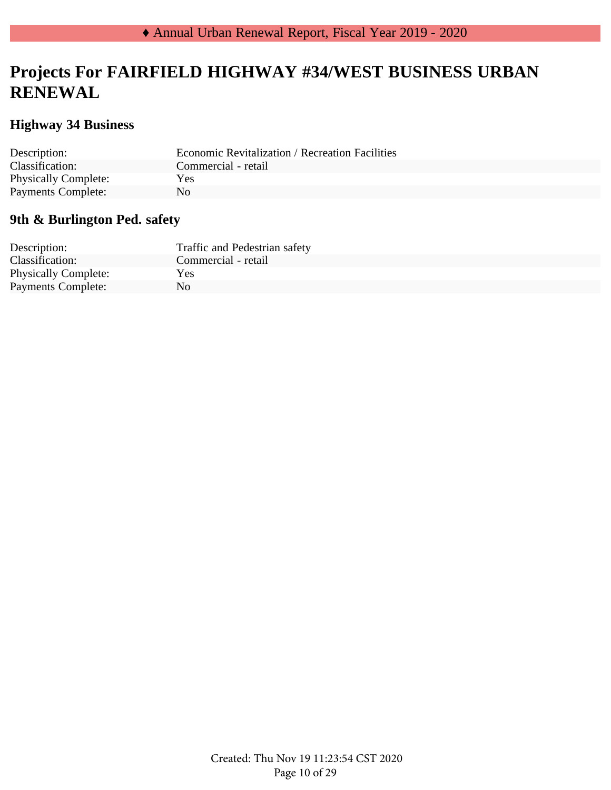## **Projects For FAIRFIELD HIGHWAY #34/WEST BUSINESS URBAN RENEWAL**

### **Highway 34 Business**

| Description:                | <b>Economic Revitalization / Recreation Facilities</b> |
|-----------------------------|--------------------------------------------------------|
| Classification:             | Commercial - retail                                    |
| <b>Physically Complete:</b> | Yes                                                    |
| <b>Payments Complete:</b>   | No.                                                    |

### **9th & Burlington Ped. safety**

| Description:                | Traffic and Pedestrian safety |
|-----------------------------|-------------------------------|
| Classification:             | Commercial - retail           |
| <b>Physically Complete:</b> | Yes                           |
| Payments Complete:          | N <sub>0</sub>                |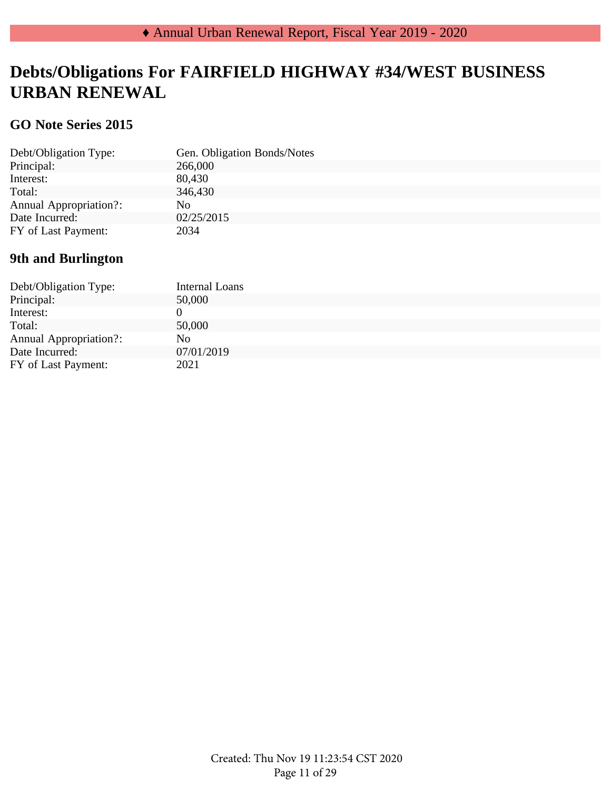## **Debts/Obligations For FAIRFIELD HIGHWAY #34/WEST BUSINESS URBAN RENEWAL**

### **GO Note Series 2015**

| Debt/Obligation Type:         | Gen. Obligation Bonds/Notes |
|-------------------------------|-----------------------------|
| Principal:                    | 266,000                     |
| Interest:                     | 80,430                      |
| Total:                        | 346,430                     |
| <b>Annual Appropriation?:</b> | No.                         |
| Date Incurred:                | 02/25/2015                  |
| FY of Last Payment:           | 2034                        |
|                               |                             |

### **9th and Burlington**

| Debt/Obligation Type:         | Internal Loans |
|-------------------------------|----------------|
| Principal:                    | 50,000         |
| Interest:                     |                |
| Total:                        | 50,000         |
| <b>Annual Appropriation?:</b> | No.            |
| Date Incurred:                | 07/01/2019     |
| FY of Last Payment:           | 2021           |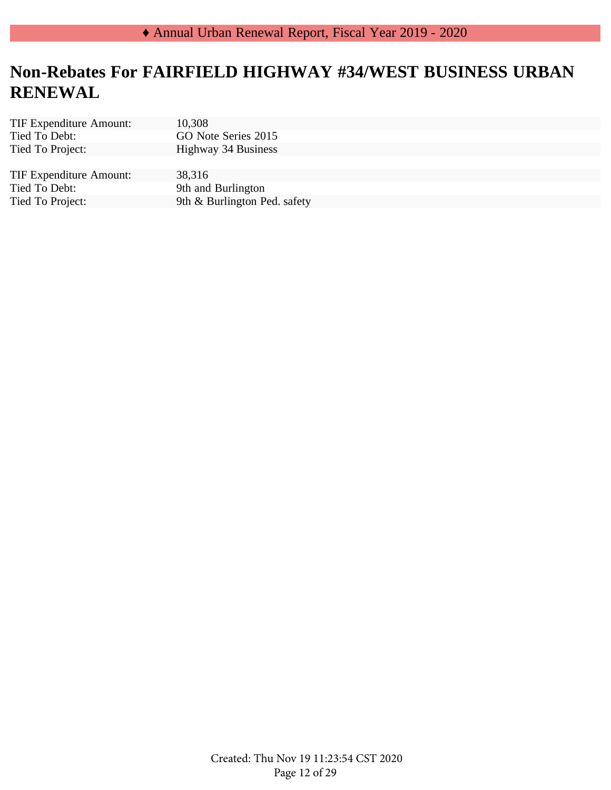# **Non-Rebates For FAIRFIELD HIGHWAY #34/WEST BUSINESS URBAN RENEWAL**

| <b>TIF Expenditure Amount:</b> | 10,308                       |
|--------------------------------|------------------------------|
| Tied To Debt:                  | GO Note Series 2015          |
| Tied To Project:               | Highway 34 Business          |
|                                |                              |
| <b>TIF Expenditure Amount:</b> | 38,316                       |
| Tied To Debt:                  | 9th and Burlington           |
| Tied To Project:               | 9th & Burlington Ped. safety |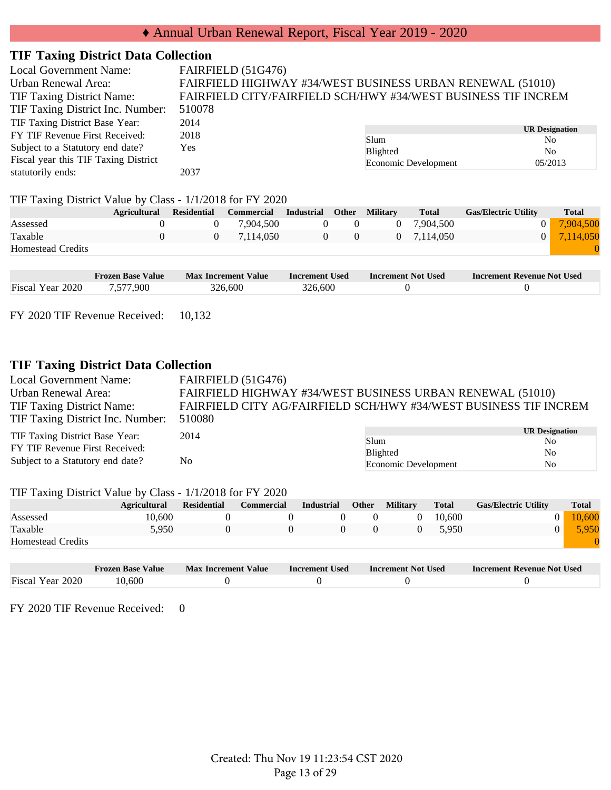### ♦ Annual Urban Renewal Report, Fiscal Year 2019 - 2020

#### **TIF Taxing District Data Collection**

| <b>Local Government Name:</b>        | FAIRFIELD (51G476)                                            |                      |                              |  |  |  |  |
|--------------------------------------|---------------------------------------------------------------|----------------------|------------------------------|--|--|--|--|
| Urban Renewal Area:                  | FAIRFIELD HIGHWAY #34/WEST BUSINESS URBAN RENEWAL (51010)     |                      |                              |  |  |  |  |
| TIF Taxing District Name:            | FAIRFIELD CITY/FAIRFIELD SCH/HWY #34/WEST BUSINESS TIF INCREM |                      |                              |  |  |  |  |
| TIF Taxing District Inc. Number:     | 510078                                                        |                      |                              |  |  |  |  |
| TIF Taxing District Base Year:       | 2014                                                          |                      |                              |  |  |  |  |
| FY TIF Revenue First Received:       | 2018                                                          | Slum                 | <b>UR Designation</b><br>No. |  |  |  |  |
| Subject to a Statutory end date?     | Yes                                                           | Blighted             | No.                          |  |  |  |  |
| Fiscal year this TIF Taxing District |                                                               | Economic Development | 05/2013                      |  |  |  |  |
| statutorily ends:                    | 2037                                                          |                      |                              |  |  |  |  |

#### TIF Taxing District Value by Class - 1/1/2018 for FY 2020

| ັ                        | <b>Agricultural</b> | <b>Residential</b> | <b>Commercial</b> | <b>Industrial</b> | <b>Other</b> | <b>Military</b> | <b>Total</b> | <b>Gas/Electric Utility</b> | <b>Total</b> |
|--------------------------|---------------------|--------------------|-------------------|-------------------|--------------|-----------------|--------------|-----------------------------|--------------|
| Assessed                 |                     |                    | 7.904.500         |                   |              | $\Omega$        | 7.904.500    |                             | 7,904,500    |
| Taxable                  |                     |                    | 7.114.050         |                   |              |                 | 0 7.114.050  | 0 <sup>1</sup>              | 7,114,050    |
| <b>Homestead Credits</b> |                     |                    |                   |                   |              |                 |              |                             |              |
|                          |                     |                    |                   |                   |              |                 |              |                             |              |

|                  | <b>Frozen Base Value</b> | <b>Max Increment Value</b> | <b>Increment Used</b> | <b>Increment Not Used</b> | <b>Increment Revenue Not Used</b> |
|------------------|--------------------------|----------------------------|-----------------------|---------------------------|-----------------------------------|
| Fiscal Year 2020 | 1.577.900                | 326,600                    | 326,600               |                           |                                   |

FY 2020 TIF Revenue Received: 10,132

### **TIF Taxing District Data Collection**

| <b>Local Government Name:</b>    | FAIRFIELD (51G476)                                               |                      |                       |  |  |  |  |
|----------------------------------|------------------------------------------------------------------|----------------------|-----------------------|--|--|--|--|
| Urban Renewal Area:              | FAIRFIELD HIGHWAY #34/WEST BUSINESS URBAN RENEWAL (51010)        |                      |                       |  |  |  |  |
| <b>TIF Taxing District Name:</b> | FAIRFIELD CITY AG/FAIRFIELD SCH/HWY #34/WEST BUSINESS TIF INCREM |                      |                       |  |  |  |  |
| TIF Taxing District Inc. Number: | 510080                                                           |                      |                       |  |  |  |  |
| TIF Taxing District Base Year:   | 2014                                                             |                      | <b>UR Designation</b> |  |  |  |  |
|                                  |                                                                  | Slum                 | No.                   |  |  |  |  |
| FY TIF Revenue First Received:   |                                                                  | <b>Blighted</b>      | N <sub>0</sub>        |  |  |  |  |
| Subject to a Statutory end date? | N <sub>0</sub>                                                   | Economic Development | N <sub>0</sub>        |  |  |  |  |
|                                  |                                                                  |                      |                       |  |  |  |  |

#### TIF Taxing District Value by Class - 1/1/2018 for FY 2020

|                          | <b>Agricultural</b> | <b>Residential</b> | <b>Commercial</b> | Industrial | <b>Other</b> | <b>Military</b> | <b>Total</b> | <b>Gas/Electric Utility</b> | <b>Total</b> |
|--------------------------|---------------------|--------------------|-------------------|------------|--------------|-----------------|--------------|-----------------------------|--------------|
| Assessed                 | 10.600              |                    |                   |            |              |                 | 10.600       |                             | 10.600       |
| Taxable                  | 5.950               |                    |                   |            |              |                 | 5.950        |                             | 5.950        |
| <b>Homestead Credits</b> |                     |                    |                   |            |              |                 |              |                             |              |

|                  | <b>Frozen Base Value</b> | <b>Max Increment Value</b> | <b>Increment Used</b> | <b>Increment Not Used</b> | Increment Revenue Not Used |
|------------------|--------------------------|----------------------------|-----------------------|---------------------------|----------------------------|
| Fiscal Year 2020 | 10.600                   |                            |                       |                           |                            |

FY 2020 TIF Revenue Received: 0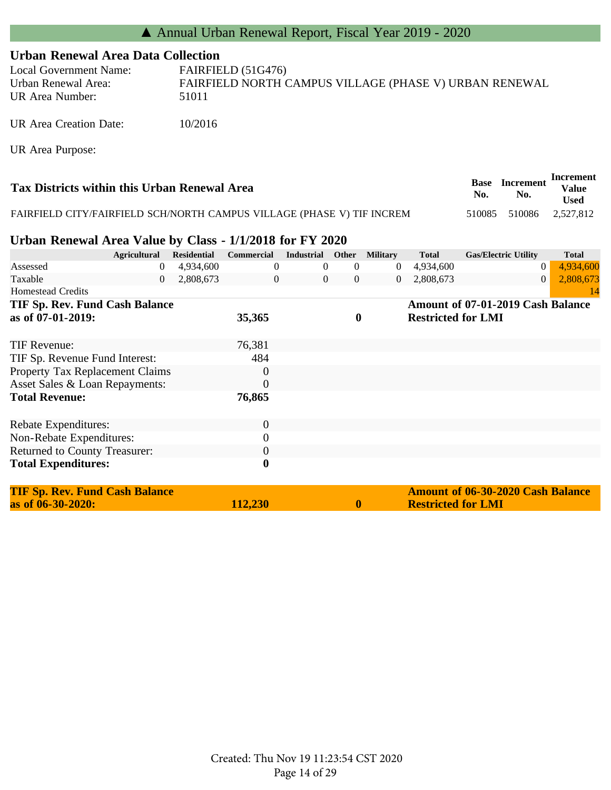### **Urban Renewal Area Data Collection**

| Local Government Name:                 | FAIRFIELD (51G476)                                              |
|----------------------------------------|-----------------------------------------------------------------|
| Urban Renewal Area:<br>UR Area Number: | FAIRFIELD NORTH CAMPUS VILLAGE (PHASE V) URBAN RENEWAL<br>51011 |
|                                        |                                                                 |

UR Area Creation Date: 10/2016

UR Area Purpose:

| Tax Districts within this Urban Renewal Area                           | Base<br>No. | <b>Increment</b><br>No. | Increment<br><b>Value</b><br><b>Used</b> |
|------------------------------------------------------------------------|-------------|-------------------------|------------------------------------------|
| FAIRFIELD CITY/FAIRFIELD SCH/NORTH CAMPUS VILLAGE (PHASE V) TIF INCREM |             | 510085 510086 2.527.812 |                                          |

#### **Urban Renewal Area Value by Class - 1/1/2018 for FY 2020**

|                                       | <b>Agricultural</b> | <b>Residential</b> | Commercial       | Industrial     | Other          | <b>Military</b> | <b>Total</b>              | <b>Gas/Electric Utility</b>              | <b>Total</b> |
|---------------------------------------|---------------------|--------------------|------------------|----------------|----------------|-----------------|---------------------------|------------------------------------------|--------------|
| Assessed                              | 0                   | 4,934,600          | $\theta$         | 0              | $\theta$       | $\overline{0}$  | 4,934,600                 | $\theta$                                 | 4,934,600    |
| Taxable                               | $\theta$            | 2,808,673          | $\theta$         | $\overline{0}$ | $\overline{0}$ | $\overline{0}$  | 2,808,673                 | $\overline{0}$                           | 2,808,673    |
| <b>Homestead Credits</b>              |                     |                    |                  |                |                |                 |                           |                                          | 14           |
| <b>TIF Sp. Rev. Fund Cash Balance</b> |                     |                    |                  |                |                |                 |                           | Amount of 07-01-2019 Cash Balance        |              |
| as of 07-01-2019:                     |                     |                    | 35,365           |                | $\bf{0}$       |                 | <b>Restricted for LMI</b> |                                          |              |
| <b>TIF Revenue:</b>                   |                     |                    | 76,381           |                |                |                 |                           |                                          |              |
| TIF Sp. Revenue Fund Interest:        |                     |                    | 484              |                |                |                 |                           |                                          |              |
| Property Tax Replacement Claims       |                     |                    | $\overline{0}$   |                |                |                 |                           |                                          |              |
| Asset Sales & Loan Repayments:        |                     |                    | $\overline{0}$   |                |                |                 |                           |                                          |              |
| <b>Total Revenue:</b>                 |                     |                    | 76,865           |                |                |                 |                           |                                          |              |
|                                       |                     |                    |                  |                |                |                 |                           |                                          |              |
| Rebate Expenditures:                  |                     |                    | $\boldsymbol{0}$ |                |                |                 |                           |                                          |              |
| Non-Rebate Expenditures:              |                     |                    | $\boldsymbol{0}$ |                |                |                 |                           |                                          |              |
| <b>Returned to County Treasurer:</b>  |                     |                    | $\boldsymbol{0}$ |                |                |                 |                           |                                          |              |
| <b>Total Expenditures:</b>            |                     |                    | $\boldsymbol{0}$ |                |                |                 |                           |                                          |              |
| <b>TIF Sp. Rev. Fund Cash Balance</b> |                     |                    |                  |                |                |                 |                           | <b>Amount of 06-30-2020 Cash Balance</b> |              |
| as of 06-30-2020:                     |                     |                    | 112,230          |                |                |                 | <b>Restricted for LMI</b> |                                          |              |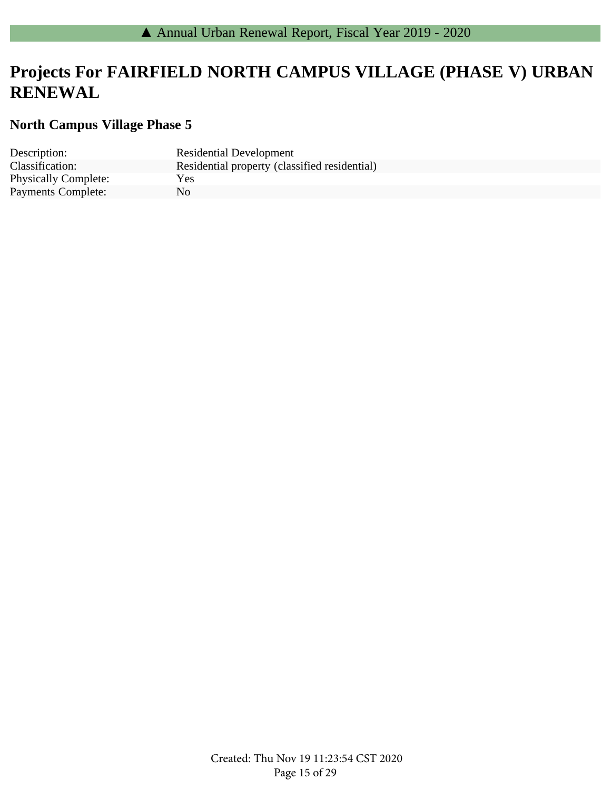## **Projects For FAIRFIELD NORTH CAMPUS VILLAGE (PHASE V) URBAN RENEWAL**

### **North Campus Village Phase 5**

| Description:                | <b>Residential Development</b>                |
|-----------------------------|-----------------------------------------------|
| Classification:             | Residential property (classified residential) |
| <b>Physically Complete:</b> | Yes                                           |
| <b>Payments Complete:</b>   | N <sub>0</sub>                                |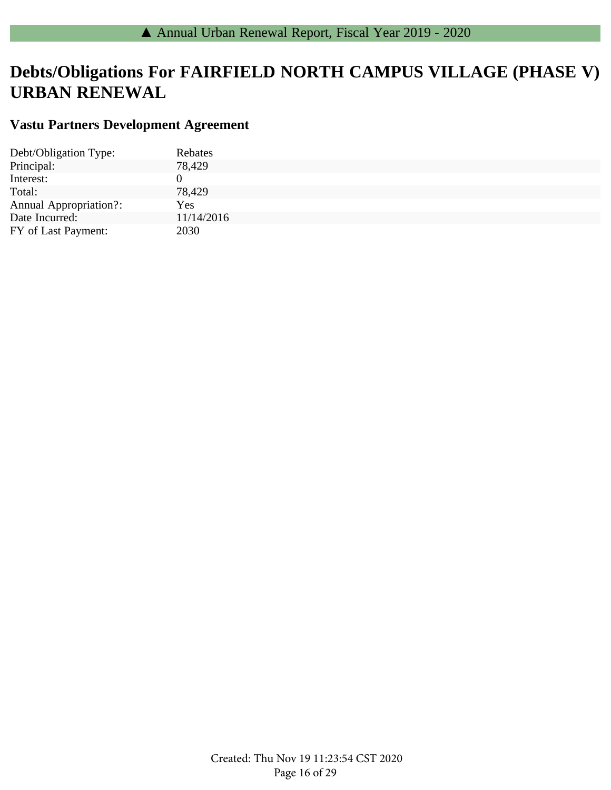# **Debts/Obligations For FAIRFIELD NORTH CAMPUS VILLAGE (PHASE V) URBAN RENEWAL**

### **Vastu Partners Development Agreement**

| Debt/Obligation Type:         | Rebates    |
|-------------------------------|------------|
| Principal:                    | 78,429     |
| Interest:                     |            |
| Total:                        | 78,429     |
| <b>Annual Appropriation?:</b> | <b>Yes</b> |
| Date Incurred:                | 11/14/2016 |
| FY of Last Payment:           | 2030       |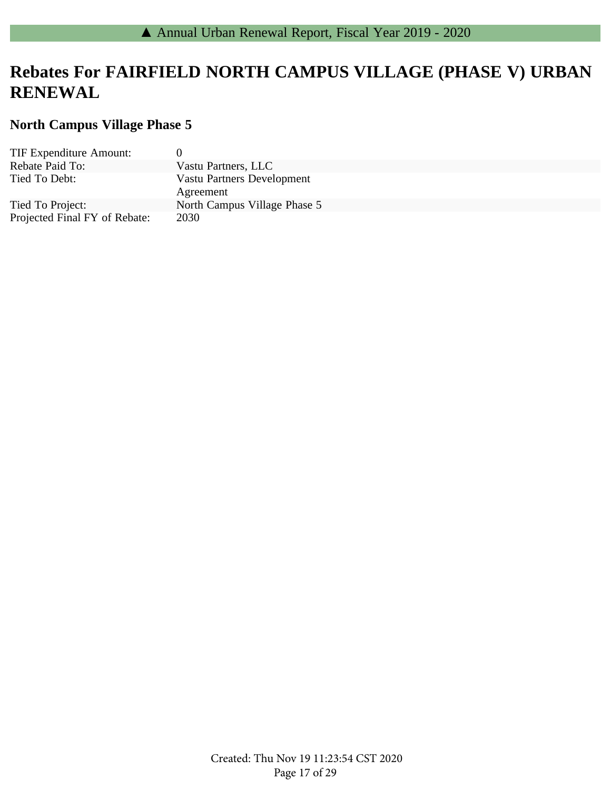## **Rebates For FAIRFIELD NORTH CAMPUS VILLAGE (PHASE V) URBAN RENEWAL**

### **North Campus Village Phase 5**

| <b>TIF Expenditure Amount:</b> | 0                                 |
|--------------------------------|-----------------------------------|
| Rebate Paid To:                | Vastu Partners, LLC               |
| Tied To Debt:                  | <b>Vastu Partners Development</b> |
|                                | Agreement                         |
| Tied To Project:               | North Campus Village Phase 5      |
| Projected Final FY of Rebate:  | 2030                              |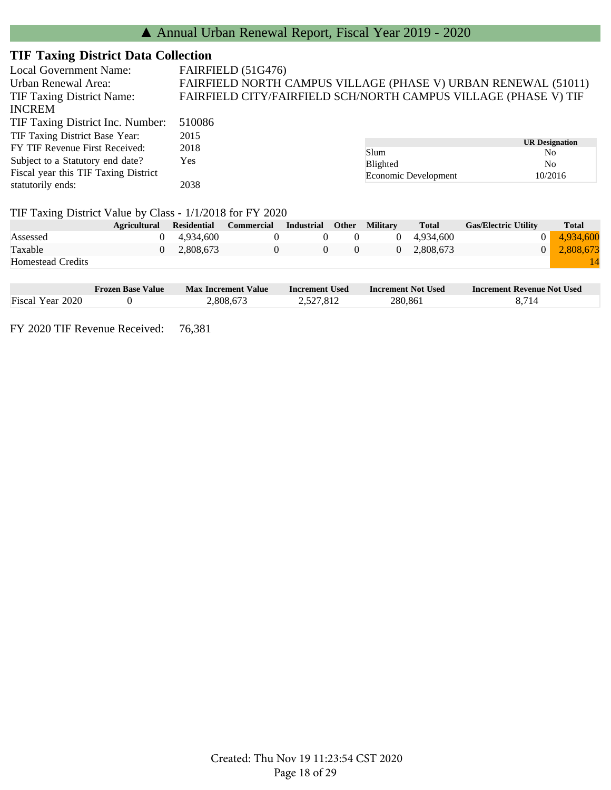### **TIF Taxing District Data Collection**

| Local Government Name:                                    |   |                    | FAIRFIELD (51G476)                                              |                   |              |                 |                                      |                             |                |  |
|-----------------------------------------------------------|---|--------------------|-----------------------------------------------------------------|-------------------|--------------|-----------------|--------------------------------------|-----------------------------|----------------|--|
| Urban Renewal Area:                                       |   |                    | FAIRFIELD NORTH CAMPUS VILLAGE (PHASE V) URBAN RENEWAL (51011)  |                   |              |                 |                                      |                             |                |  |
| <b>TIF Taxing District Name:</b>                          |   |                    | FAIRFIELD CITY/FAIRFIELD SCH/NORTH CAMPUS VILLAGE (PHASE V) TIF |                   |              |                 |                                      |                             |                |  |
| <b>INCREM</b>                                             |   |                    |                                                                 |                   |              |                 |                                      |                             |                |  |
| TIF Taxing District Inc. Number:                          |   | 510086             |                                                                 |                   |              |                 |                                      |                             |                |  |
| TIF Taxing District Base Year:                            |   | 2015               |                                                                 |                   |              |                 |                                      |                             |                |  |
| FY TIF Revenue First Received:                            |   | 2018               |                                                                 |                   |              |                 | <b>UR</b> Designation<br>Slum<br>No. |                             |                |  |
| Subject to a Statutory end date?                          |   | <b>Yes</b>         |                                                                 |                   |              | Blighted        |                                      |                             | N <sub>o</sub> |  |
| Fiscal year this TIF Taxing District                      |   |                    |                                                                 |                   |              |                 | Economic Development                 | 10/2016                     |                |  |
| statutorily ends:                                         |   | 2038               |                                                                 |                   |              |                 |                                      |                             |                |  |
| TIF Taxing District Value by Class - 1/1/2018 for FY 2020 |   |                    |                                                                 |                   |              |                 |                                      |                             |                |  |
| <b>Agricultural</b>                                       |   | <b>Residential</b> | <b>Commercial</b>                                               | <b>Industrial</b> | <b>Other</b> | <b>Military</b> | <b>Total</b>                         | <b>Gas/Electric Utility</b> | <b>Total</b>   |  |
| Assessed                                                  | 0 | 4.934.600          | $\Omega$                                                        | $\Omega$          | $\Omega$     | $\Omega$        | 4.934,600                            | 0                           | 4.934.600      |  |

| ⊣or<br>d1t.<br>ас |  |
|-------------------|--|
|                   |  |

Taxable 0 2,808,673 0 0 0 0 2,808,673 0 2,808,673

|                  | Frozen Base Value | <b>Max Increment Value</b> | <b>Increment Used</b> | <b>Increment Not Used</b> | Increment Revenue Not Used |
|------------------|-------------------|----------------------------|-----------------------|---------------------------|----------------------------|
| Fiscal Year 2020 |                   | 2,808,673                  | 2.527.812             | 280,861                   |                            |

FY 2020 TIF Revenue Received: 76,381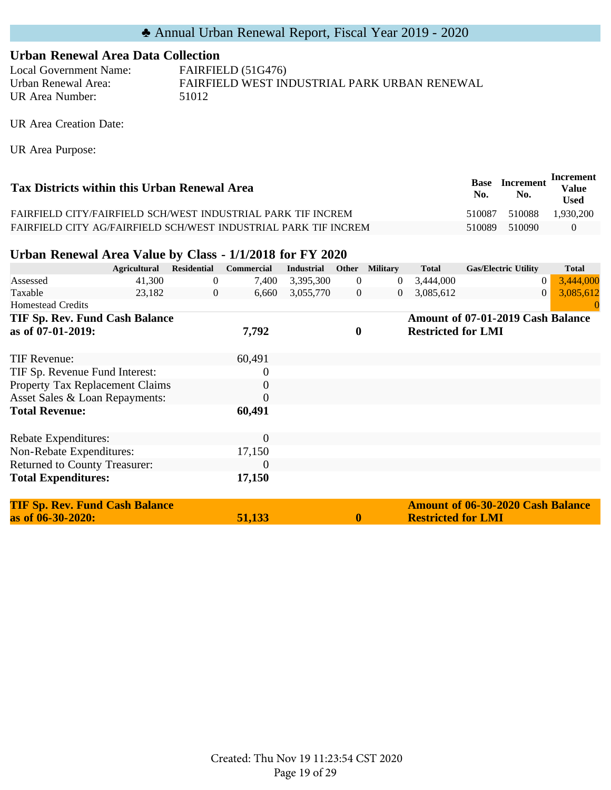#### **Urban Renewal Area Data Collection**

Local Government Name: FAIRFIELD (51G476) Urban Renewal Area: FAIRFIELD WEST INDUSTRIAL PARK URBAN RENEWAL UR Area Number: 51012

UR Area Creation Date:

UR Area Purpose:

| Tax Districts within this Urban Renewal Area                    | Base<br>No. | <b>Increment</b><br>No. | Increment<br><b>Value</b><br><b>Used</b> |
|-----------------------------------------------------------------|-------------|-------------------------|------------------------------------------|
| FAIRFIELD CITY/FAIRFIELD SCH/WEST INDUSTRIAL PARK TIF INCREM    | 510087      | 510088                  | 1.930.200                                |
| FAIRFIELD CITY AG/FAIRFIELD SCH/WEST INDUSTRIAL PARK TIF INCREM | 510089      | 510090                  | $\theta$                                 |

#### **Urban Renewal Area Value by Class - 1/1/2018 for FY 2020**

|                                 | <b>Agricultural</b> | <b>Residential</b> | <b>Commercial</b> | <b>Industrial</b> |                | Other Military | <b>Total</b>              | <b>Gas/Electric Utility</b>       | <b>Total</b> |
|---------------------------------|---------------------|--------------------|-------------------|-------------------|----------------|----------------|---------------------------|-----------------------------------|--------------|
| Assessed                        | 41,300              | $\overline{0}$     | 7,400             | 3,395,300         | $\overline{0}$ | $\theta$       | 3,444,000                 | $\theta$                          | 3,444,000    |
| Taxable                         | 23,182              | $\overline{0}$     | 6,660             | 3,055,770         | $\overline{0}$ | $\overline{0}$ | 3,085,612                 | $\overline{0}$                    | 3,085,612    |
| <b>Homestead Credits</b>        |                     |                    |                   |                   |                |                |                           |                                   |              |
| TIF Sp. Rev. Fund Cash Balance  |                     |                    |                   |                   |                |                |                           | Amount of 07-01-2019 Cash Balance |              |
| as of 07-01-2019:               |                     |                    | 7,792             |                   | $\bf{0}$       |                | <b>Restricted for LMI</b> |                                   |              |
|                                 |                     |                    |                   |                   |                |                |                           |                                   |              |
| TIF Revenue:                    |                     |                    | 60,491            |                   |                |                |                           |                                   |              |
| TIF Sp. Revenue Fund Interest:  |                     |                    | $\boldsymbol{0}$  |                   |                |                |                           |                                   |              |
| Property Tax Replacement Claims |                     |                    | $\theta$          |                   |                |                |                           |                                   |              |
| Asset Sales & Loan Repayments:  |                     |                    | $\theta$          |                   |                |                |                           |                                   |              |
| <b>Total Revenue:</b>           |                     |                    | 60,491            |                   |                |                |                           |                                   |              |
|                                 |                     |                    |                   |                   |                |                |                           |                                   |              |
| Rebate Expenditures:            |                     |                    | $\boldsymbol{0}$  |                   |                |                |                           |                                   |              |
| Non-Rebate Expenditures:        |                     |                    | 17,150            |                   |                |                |                           |                                   |              |
| Returned to County Treasurer:   |                     |                    | $\theta$          |                   |                |                |                           |                                   |              |
| <b>Total Expenditures:</b>      |                     |                    | 17,150            |                   |                |                |                           |                                   |              |
|                                 |                     |                    |                   |                   |                |                |                           |                                   |              |

| <b>TIF Sp. Rev. Fund Cash Balance</b> |        |              | <b>Amount of 06-30-2020 Cash Balance</b> |
|---------------------------------------|--------|--------------|------------------------------------------|
| as of $06 - 30 - 2020$ :              | 51,133 | $\mathbf{0}$ | <b>Restricted for LMI</b>                |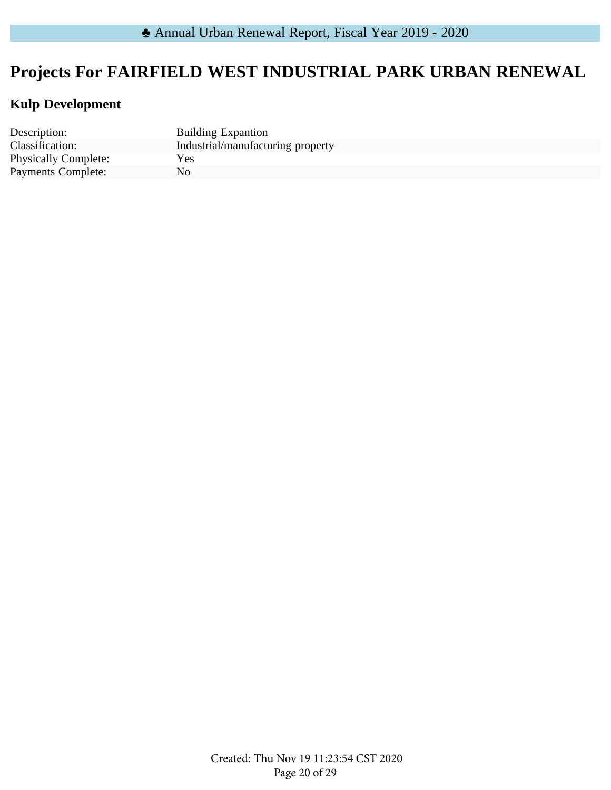# **Projects For FAIRFIELD WEST INDUSTRIAL PARK URBAN RENEWAL**

### **Kulp Development**

Description: Building Expantion Physically Complete: Yes<br>
Payments Complete: No Payments Complete:

Classification: Industrial/manufacturing property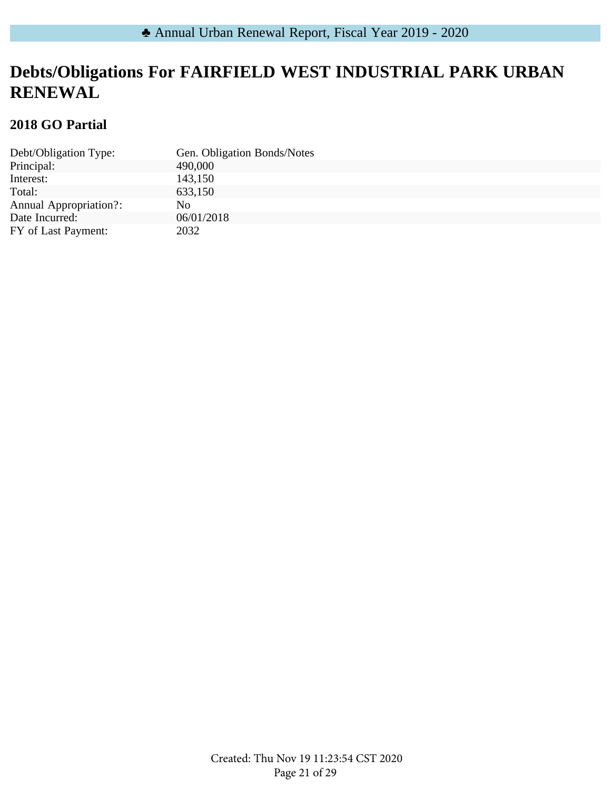## **Debts/Obligations For FAIRFIELD WEST INDUSTRIAL PARK URBAN RENEWAL**

### **2018 GO Partial**

| Debt/Obligation Type:         | Gen. Obligation Bonds/Notes |
|-------------------------------|-----------------------------|
| Principal:                    | 490,000                     |
| Interest:                     | 143,150                     |
| Total:                        | 633,150                     |
| <b>Annual Appropriation?:</b> | No                          |
| Date Incurred:                | 06/01/2018                  |
| FY of Last Payment:           | 2032                        |
|                               |                             |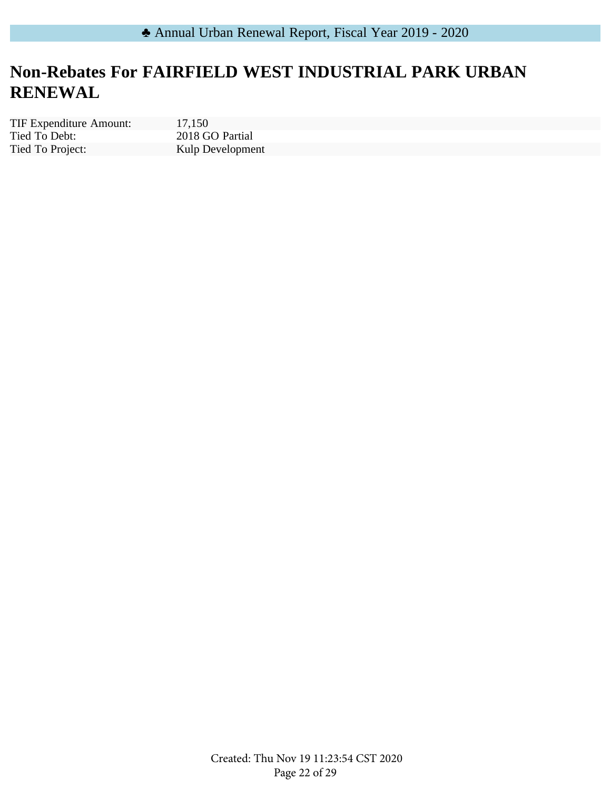# **Non-Rebates For FAIRFIELD WEST INDUSTRIAL PARK URBAN RENEWAL**

Tied To Debt: Tied To Project: TIF Expenditure Amount: 17,150

2018 GO Partial Kulp Development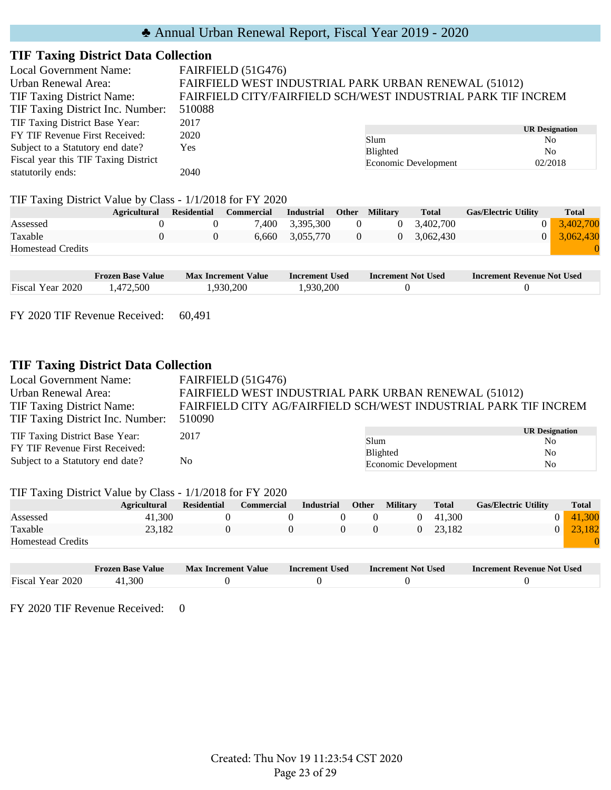#### **TIF Taxing District Data Collection**

| <b>Local Government Name:</b>        | FAIRFIELD (51G476)                                           |                                                      |                              |  |  |  |  |  |
|--------------------------------------|--------------------------------------------------------------|------------------------------------------------------|------------------------------|--|--|--|--|--|
| Urban Renewal Area:                  |                                                              | FAIRFIELD WEST INDUSTRIAL PARK URBAN RENEWAL (51012) |                              |  |  |  |  |  |
| <b>TIF Taxing District Name:</b>     | FAIRFIELD CITY/FAIRFIELD SCH/WEST INDUSTRIAL PARK TIF INCREM |                                                      |                              |  |  |  |  |  |
| TIF Taxing District Inc. Number:     | 510088                                                       |                                                      |                              |  |  |  |  |  |
| TIF Taxing District Base Year:       | 2017                                                         |                                                      |                              |  |  |  |  |  |
| FY TIF Revenue First Received:       | 2020                                                         | Slum                                                 | <b>UR Designation</b><br>No. |  |  |  |  |  |
| Subject to a Statutory end date?     | Yes                                                          | <b>Blighted</b>                                      | N <sub>0</sub>               |  |  |  |  |  |
| Fiscal year this TIF Taxing District |                                                              | Economic Development                                 | 02/2018                      |  |  |  |  |  |
| statutorily ends:                    | 2040                                                         |                                                      |                              |  |  |  |  |  |

#### TIF Taxing District Value by Class - 1/1/2018 for FY 2020

|                          | <b>Agricultural</b> | <b>Residential</b> | Commercial | Industrial      |                | <b>Other Military</b> | <b>Total</b> | <b>Gas/Electric Utility</b> | <b>Total</b>        |
|--------------------------|---------------------|--------------------|------------|-----------------|----------------|-----------------------|--------------|-----------------------------|---------------------|
| Assessed                 |                     |                    |            | 7,400 3,395,300 | 0              |                       | 3.402.700    |                             | $0 \quad 3,402,700$ |
| Taxable                  |                     |                    |            | 6,660 3,055,770 | $\overline{0}$ |                       | 3.062.430    |                             | $0 \quad 3,062,430$ |
| <b>Homestead Credits</b> |                     |                    |            |                 |                |                       |              |                             |                     |
|                          |                     |                    |            |                 |                |                       |              |                             |                     |

|                  | <b>Frozen Base Value</b> | <b>Max Increment Value</b> | <b>Increment Used</b> | Increment Not Used | <b>Increment Revenue Not Used</b> |
|------------------|--------------------------|----------------------------|-----------------------|--------------------|-----------------------------------|
| Fiscal Year 2020 | .472.500                 | .930.200                   | .930.200              |                    |                                   |

FY 2020 TIF Revenue Received: 60,491

### **TIF Taxing District Data Collection**

| <b>Local Government Name:</b>              | FAIRFIELD (51G476)                                              |                      |                       |  |  |  |  |
|--------------------------------------------|-----------------------------------------------------------------|----------------------|-----------------------|--|--|--|--|
| Urban Renewal Area:                        | FAIRFIELD WEST INDUSTRIAL PARK URBAN RENEWAL (51012)            |                      |                       |  |  |  |  |
| <b>TIF Taxing District Name:</b>           | FAIRFIELD CITY AG/FAIRFIELD SCH/WEST INDUSTRIAL PARK TIF INCREM |                      |                       |  |  |  |  |
| TIF Taxing District Inc. Number:<br>510090 |                                                                 |                      |                       |  |  |  |  |
| TIF Taxing District Base Year:             | 2017                                                            |                      | <b>UR Designation</b> |  |  |  |  |
|                                            |                                                                 | Slum                 | No.                   |  |  |  |  |
| FY TIF Revenue First Received:             |                                                                 | Blighted             | N <sub>0</sub>        |  |  |  |  |
| Subject to a Statutory end date?           | N <sub>0</sub>                                                  | Economic Development | N <sub>o</sub>        |  |  |  |  |
|                                            |                                                                 |                      |                       |  |  |  |  |

#### TIF Taxing District Value by Class - 1/1/2018 for FY 2020

| ~                        | <b>Agricultural</b> | <b>Residential</b> | <b>Commercial</b> | <b>Industrial</b> | <b>Other</b> | <b>Military</b> | <b>Total</b>    | <b>Gas/Electric Utility</b> | <b>Total</b> |
|--------------------------|---------------------|--------------------|-------------------|-------------------|--------------|-----------------|-----------------|-----------------------------|--------------|
| Assessed                 | 41.300              |                    |                   |                   |              |                 | $0\quad 41.300$ |                             | 41.300       |
| Taxable                  | 23.182              |                    |                   |                   |              |                 | 0 23.182        |                             | 23.182       |
| <b>Homestead Credits</b> |                     |                    |                   |                   |              |                 |                 |                             |              |

|                  | <b>Frozen Base Value</b> | <b>Max Increment Value</b> | <b>Increment Used</b> | Increment Not Used | <b>Increment Revenue Not Used</b> |
|------------------|--------------------------|----------------------------|-----------------------|--------------------|-----------------------------------|
| Fiscal Year 2020 | 1.300                    |                            |                       |                    |                                   |

FY 2020 TIF Revenue Received: 0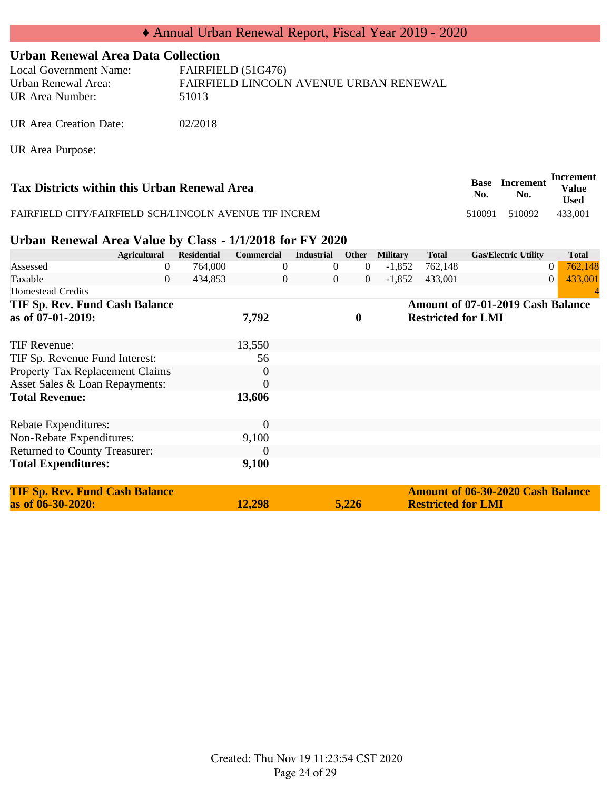#### **Urban Renewal Area Data Collection**

| Local Government Name: | FAIRFIELD (51G476)                     |
|------------------------|----------------------------------------|
| Urban Renewal Area:    | FAIRFIELD LINCOLN AVENUE URBAN RENEWAL |
| UR Area Number:        | 51013                                  |
|                        |                                        |

UR Area Creation Date: 02/2018

UR Area Purpose:

| Tax Districts within this Urban Renewal Area           | <b>Base</b><br>No. | <b>Increment</b><br>No. | Increment<br><b>Value</b><br><b>Used</b> |
|--------------------------------------------------------|--------------------|-------------------------|------------------------------------------|
| FAIRFIELD CITY/FAIRFIELD SCH/LINCOLN AVENUE TIF INCREM | 510091             | 510092                  | 433.001                                  |

#### **Urban Renewal Area Value by Class - 1/1/2018 for FY 2020**

| <b>Agricultural</b>                   |   | <b>Residential</b> | <b>Commercial</b> |                | <b>Industrial</b> | Other            | <b>Military</b> |          | <b>Total</b>              | <b>Gas/Electric Utility</b>              |                | <b>Total</b> |
|---------------------------------------|---|--------------------|-------------------|----------------|-------------------|------------------|-----------------|----------|---------------------------|------------------------------------------|----------------|--------------|
| Assessed                              | 0 | 764,000            |                   |                | $\theta$          | $\overline{0}$   |                 | $-1,852$ | 762,148                   |                                          | $\overline{0}$ | 762,148      |
| Taxable                               | 0 | 434,853            |                   | $\overline{0}$ | $\overline{0}$    | $\theta$         |                 | $-1,852$ | 433,001                   |                                          | $\overline{0}$ | 433,001      |
| <b>Homestead Credits</b>              |   |                    |                   |                |                   |                  |                 |          |                           |                                          |                |              |
| TIF Sp. Rev. Fund Cash Balance        |   |                    |                   |                |                   |                  |                 |          |                           | Amount of 07-01-2019 Cash Balance        |                |              |
| as of 07-01-2019:                     |   |                    | 7,792             |                |                   | $\boldsymbol{0}$ |                 |          | <b>Restricted for LMI</b> |                                          |                |              |
|                                       |   |                    |                   |                |                   |                  |                 |          |                           |                                          |                |              |
| TIF Revenue:                          |   |                    | 13,550            |                |                   |                  |                 |          |                           |                                          |                |              |
| TIF Sp. Revenue Fund Interest:        |   |                    | 56                |                |                   |                  |                 |          |                           |                                          |                |              |
| Property Tax Replacement Claims       |   |                    | $\boldsymbol{0}$  |                |                   |                  |                 |          |                           |                                          |                |              |
| Asset Sales & Loan Repayments:        |   |                    | $\theta$          |                |                   |                  |                 |          |                           |                                          |                |              |
| <b>Total Revenue:</b>                 |   |                    | 13,606            |                |                   |                  |                 |          |                           |                                          |                |              |
|                                       |   |                    |                   |                |                   |                  |                 |          |                           |                                          |                |              |
| Rebate Expenditures:                  |   |                    | $\theta$          |                |                   |                  |                 |          |                           |                                          |                |              |
| Non-Rebate Expenditures:              |   |                    | 9,100             |                |                   |                  |                 |          |                           |                                          |                |              |
| Returned to County Treasurer:         |   |                    | $\theta$          |                |                   |                  |                 |          |                           |                                          |                |              |
| <b>Total Expenditures:</b>            |   |                    | 9,100             |                |                   |                  |                 |          |                           |                                          |                |              |
|                                       |   |                    |                   |                |                   |                  |                 |          |                           |                                          |                |              |
| <b>TIF Sp. Rev. Fund Cash Balance</b> |   |                    |                   |                |                   |                  |                 |          |                           | <b>Amount of 06-30-2020 Cash Balance</b> |                |              |
| as of 06-30-2020:                     |   |                    | 12,298            |                |                   | 5,226            |                 |          | <b>Restricted for LMI</b> |                                          |                |              |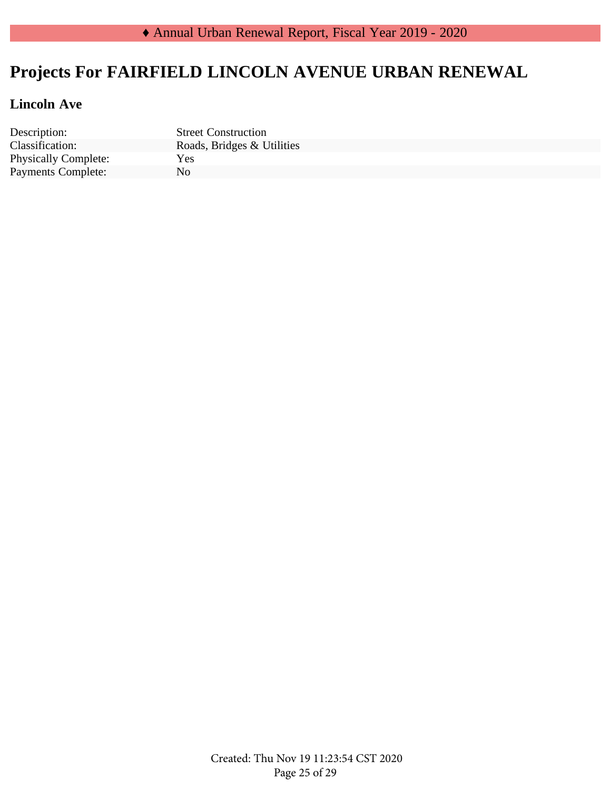# **Projects For FAIRFIELD LINCOLN AVENUE URBAN RENEWAL**

### **Lincoln Ave**

Description: Street Construction Physically Complete: Yes<br>
Payments Complete: No Payments Complete:

Classification: Roads, Bridges & Utilities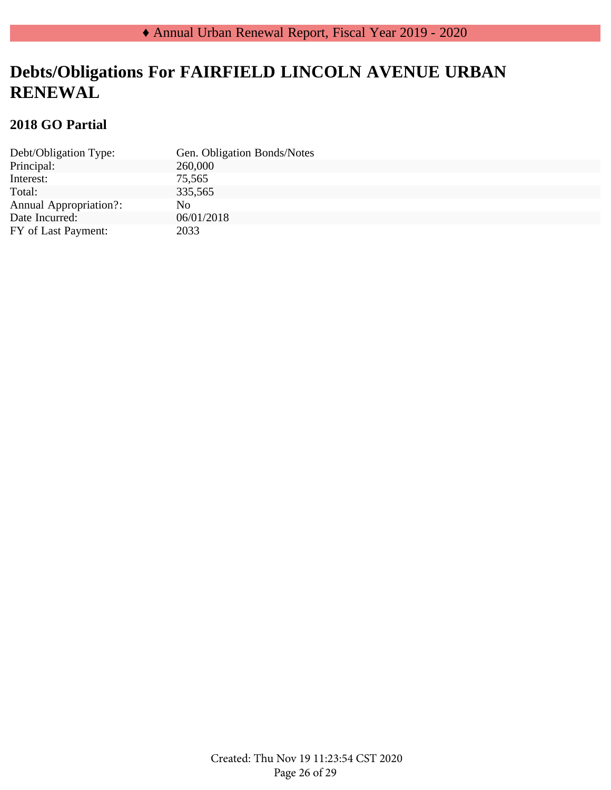## **Debts/Obligations For FAIRFIELD LINCOLN AVENUE URBAN RENEWAL**

### **2018 GO Partial**

|                               | Gen. Obligation Bonds/Notes |
|-------------------------------|-----------------------------|
| Debt/Obligation Type:         |                             |
| Principal:                    | 260,000                     |
| Interest:                     | 75,565                      |
| Total:                        | 335,565                     |
| <b>Annual Appropriation?:</b> | No.                         |
| Date Incurred:                | 06/01/2018                  |
| FY of Last Payment:           | 2033                        |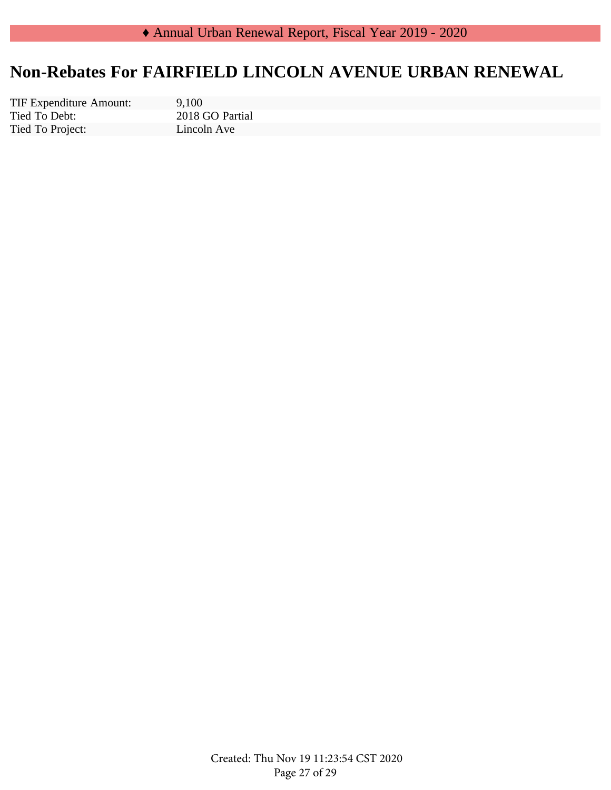## **Non-Rebates For FAIRFIELD LINCOLN AVENUE URBAN RENEWAL**

Tied To Debt: Tied To Project: TIF Expenditure Amount: 9,100

2018 GO Partial Lincoln Ave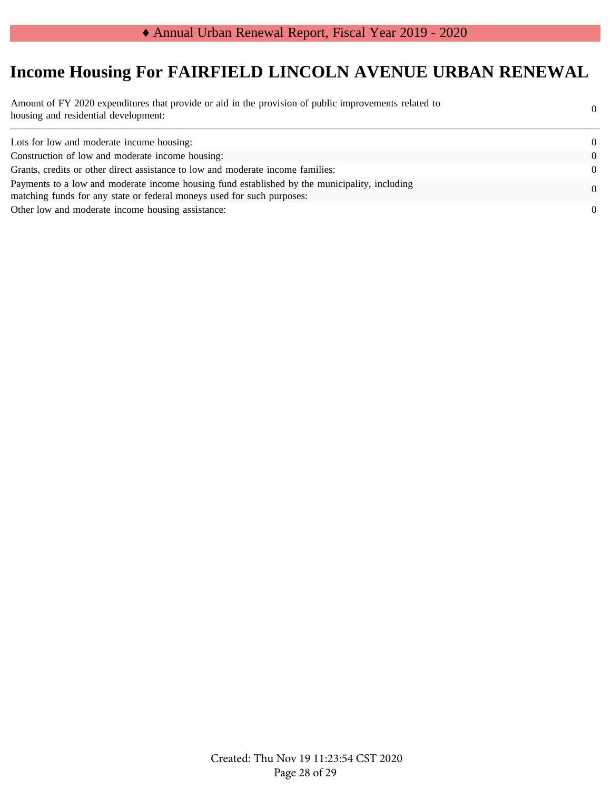# **Income Housing For FAIRFIELD LINCOLN AVENUE URBAN RENEWAL**

| Amount of FY 2020 expenditures that provide or aid in the provision of public improvements related to<br>housing and residential development:                           | $\Omega$ |
|-------------------------------------------------------------------------------------------------------------------------------------------------------------------------|----------|
| Lots for low and moderate income housing:                                                                                                                               | $\Omega$ |
| Construction of low and moderate income housing:                                                                                                                        | $\Omega$ |
| Grants, credits or other direct assistance to low and moderate income families:                                                                                         | $\Omega$ |
| Payments to a low and moderate income housing fund established by the municipality, including<br>matching funds for any state or federal moneys used for such purposes: | $\Omega$ |
| Other low and moderate income housing assistance:                                                                                                                       | $\Omega$ |